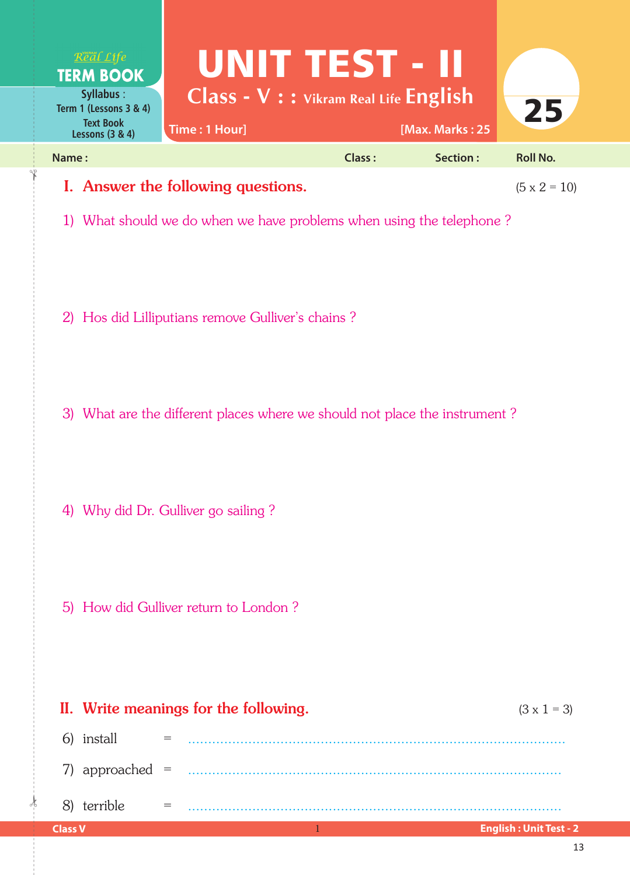

1) What should we do when we have problems when using the telephone ?

- 2) Hos did Lilliputians remove Gulliver's chains ?
- 3) What are the different places where we should not place the instrument ?
- 4) Why did Dr. Gulliver go sailing ?
- 5) How did Gulliver return to London ?

 $\frac{1}{2}$ 

|                | II. Write meanings for the following. |                                                                                                                                                                                                                                                                                                                                                                                              |  | $(3 \times 1 = 3)$            |
|----------------|---------------------------------------|----------------------------------------------------------------------------------------------------------------------------------------------------------------------------------------------------------------------------------------------------------------------------------------------------------------------------------------------------------------------------------------------|--|-------------------------------|
|                | 6) install                            |                                                                                                                                                                                                                                                                                                                                                                                              |  |                               |
|                |                                       |                                                                                                                                                                                                                                                                                                                                                                                              |  |                               |
|                | 8) terrible                           | $\frac{1}{2} \frac{1}{2} \frac{1}{2} \frac{1}{2} \frac{1}{2} \frac{1}{2} \frac{1}{2} \frac{1}{2} \frac{1}{2} \frac{1}{2} \frac{1}{2} \frac{1}{2} \frac{1}{2} \frac{1}{2} \frac{1}{2} \frac{1}{2} \frac{1}{2} \frac{1}{2} \frac{1}{2} \frac{1}{2} \frac{1}{2} \frac{1}{2} \frac{1}{2} \frac{1}{2} \frac{1}{2} \frac{1}{2} \frac{1}{2} \frac{1}{2} \frac{1}{2} \frac{1}{2} \frac{1}{2} \frac{$ |  |                               |
| <b>Class V</b> |                                       |                                                                                                                                                                                                                                                                                                                                                                                              |  | <b>English: Unit Test - 2</b> |